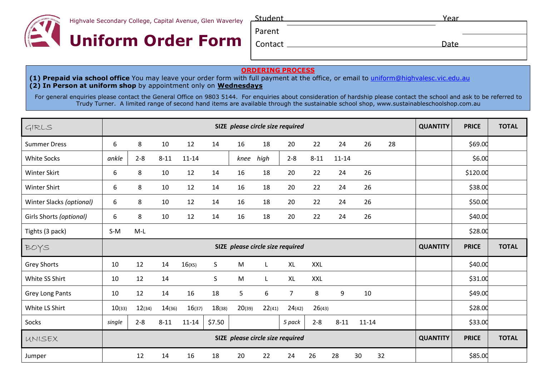

Highvale Secondary College, Capital Avenue, Glen Waverley



| Student | Year |  |
|---------|------|--|
| Parent  |      |  |
| Contact | Date |  |
|         |      |  |

## **ORDERING PROCESS**

**(1) Prepaid via school office** You may leave your order form with full payment at the office, or email to [uniform@highvalesc.vic.edu.au](mailto:uniform@highvalesc.vic.edu.au) **(2) In Person at uniform shop** by appointment only on **Wednesdays**

For general enquiries please contact the General Office on 9803 5144. For enquiries about consideration of hardship please contact the school and ask to be referred to Trudy Turner. A limited range of second hand items are available through the sustainable school shop, [www.sustainableschoolshop.com.au](http://www.sustainableschoolshop.com.au/)

| GIRLS                    | SIZE please circle size required |         |          |           |        |                                  | <b>QUANTITY</b> | <b>PRICE</b>   | <b>TOTAL</b> |           |           |    |                 |              |              |
|--------------------------|----------------------------------|---------|----------|-----------|--------|----------------------------------|-----------------|----------------|--------------|-----------|-----------|----|-----------------|--------------|--------------|
| <b>Summer Dress</b>      | 6                                | 8       | 10       | 12        | 14     | 16                               | 18              | 20             | 22           | 24        | 26        | 28 |                 | \$69.00      |              |
| <b>White Socks</b>       | ankle                            | $2 - 8$ | $8 - 11$ | $11 - 14$ |        | knee                             | high            | $2 - 8$        | $8 - 11$     | $11 - 14$ |           |    |                 | \$6.00       |              |
| Winter Skirt             | 6                                | 8       | 10       | 12        | 14     | 16                               | 18              | 20             | 22           | 24        | 26        |    |                 | \$120.00     |              |
| Winter Shirt             | 6                                | 8       | 10       | 12        | 14     | 16                               | 18              | 20             | 22           | 24        | 26        |    |                 | \$38.00      |              |
| Winter Slacks (optional) | 6                                | 8       | 10       | 12        | 14     | 16                               | 18              | 20             | 22           | 24        | 26        |    |                 | \$50.00      |              |
| Girls Shorts (optional)  | 6                                | 8       | 10       | 12        | 14     | 16                               | 18              | 20             | 22           | 24        | 26        |    |                 | \$40.00      |              |
| Tights (3 pack)          | $S-M$                            | $M-L$   |          |           |        |                                  |                 |                |              |           |           |    |                 | \$28.00      |              |
| BOYS                     |                                  |         |          |           |        | SIZE please circle size required |                 |                |              |           |           |    | <b>QUANTITY</b> | <b>PRICE</b> | <b>TOTAL</b> |
| Grey Shorts              | 10                               | 12      | 14       | 16(x)     | S      | M                                | L               | <b>XL</b>      | XXL          |           |           |    |                 | \$40.00      |              |
| White SS Shirt           | 10                               | 12      | 14       |           | S      | M                                | L               | <b>XL</b>      | <b>XXL</b>   |           |           |    |                 | \$31.00      |              |
| Grey Long Pants          | 10                               | 12      | 14       | 16        | 18     | 5                                | 6               | $\overline{7}$ | 8            | 9         | 10        |    |                 | \$49.00      |              |
| White LS Shirt           | 10(33)                           | 12(34)  | 14(36)   | 16(37)    | 18(38) | 20(39)                           | 22(41)          | 24(42)         | 26(43)       |           |           |    |                 | \$28.00      |              |
| Socks                    | single                           | $2 - 8$ | $8 - 11$ | $11 - 14$ | \$7.50 |                                  |                 | 5 pack         | $2 - 8$      | $8 - 11$  | $11 - 14$ |    |                 | \$33.00      |              |
| UNISEX                   | SIZE please circle size required |         |          |           |        |                                  | <b>QUANTITY</b> | <b>PRICE</b>   | <b>TOTAL</b> |           |           |    |                 |              |              |
| Jumper                   |                                  | 12      | 14       | 16        | 18     | 20                               | 22              | 24             | 26           | 28        | 30        | 32 |                 | \$85.00      |              |